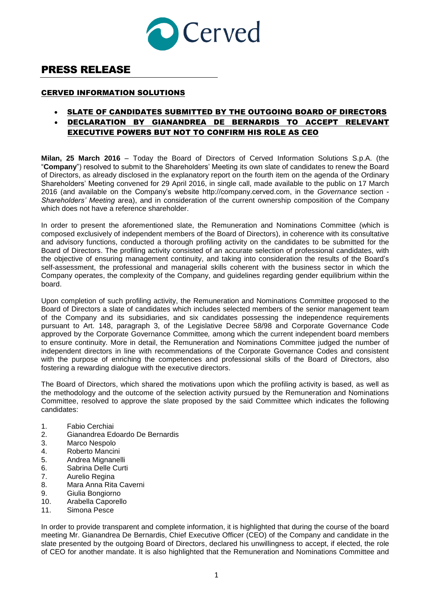

## PRESS RELEASE

## CERVED INFORMATION SOLUTIONS

- SLATE OF CANDIDATES SUBMITTED BY THE OUTGOING BOARD OF DIRECTORS
- DECLARATION BY GIANANDREA DE BERNARDIS TO ACCEPT RELEVANT EXECUTIVE POWERS BUT NOT TO CONFIRM HIS ROLE AS CEO

**Milan, 25 March 2016** – Today the Board of Directors of Cerved Information Solutions S.p.A. (the "**Company**") resolved to submit to the Shareholders' Meeting its own slate of candidates to renew the Board of Directors, as already disclosed in the explanatory report on the fourth item on the agenda of the Ordinary Shareholders' Meeting convened for 29 April 2016, in single call, made available to the public on 17 March 2016 (and available on the Company's website http://company.cerved.com, in the *Governance* section - *Shareholders' Meeting* area), and in consideration of the current ownership composition of the Company which does not have a reference shareholder.

In order to present the aforementioned slate, the Remuneration and Nominations Committee (which is composed exclusively of independent members of the Board of Directors), in coherence with its consultative and advisory functions, conducted a thorough profiling activity on the candidates to be submitted for the Board of Directors. The profiling activity consisted of an accurate selection of professional candidates, with the objective of ensuring management continuity, and taking into consideration the results of the Board's self-assessment, the professional and managerial skills coherent with the business sector in which the Company operates, the complexity of the Company, and guidelines regarding gender equilibrium within the board.

Upon completion of such profiling activity, the Remuneration and Nominations Committee proposed to the Board of Directors a slate of candidates which includes selected members of the senior management team of the Company and its subsidiaries, and six candidates possessing the independence requirements pursuant to Art. 148, paragraph 3, of the Legislative Decree 58/98 and Corporate Governance Code approved by the Corporate Governance Committee*,* among which the current independent board members to ensure continuity. More in detail, the Remuneration and Nominations Committee judged the number of independent directors in line with recommendations of the Corporate Governance Codes and consistent with the purpose of enriching the competences and professional skills of the Board of Directors, also fostering a rewarding dialogue with the executive directors.

The Board of Directors, which shared the motivations upon which the profiling activity is based, as well as the methodology and the outcome of the selection activity pursued by the Remuneration and Nominations Committee, resolved to approve the slate proposed by the said Committee which indicates the following candidates:

- 1. Fabio Cerchiai
- 2. Gianandrea Edoardo De Bernardis
- 3. Marco Nespolo
- 4. Roberto Mancini
- 5. Andrea Mignanelli
- 6. Sabrina Delle Curti
- 7. Aurelio Regina
- 8. Mara Anna Rita Caverni
- 9. Giulia Bongiorno
- 10. Arabella Caporello
- 11. Simona Pesce

In order to provide transparent and complete information, it is highlighted that during the course of the board meeting Mr. Gianandrea De Bernardis, Chief Executive Officer (CEO) of the Company and candidate in the slate presented by the outgoing Board of Directors, declared his unwillingness to accept, if elected, the role of CEO for another mandate. It is also highlighted that the Remuneration and Nominations Committee and